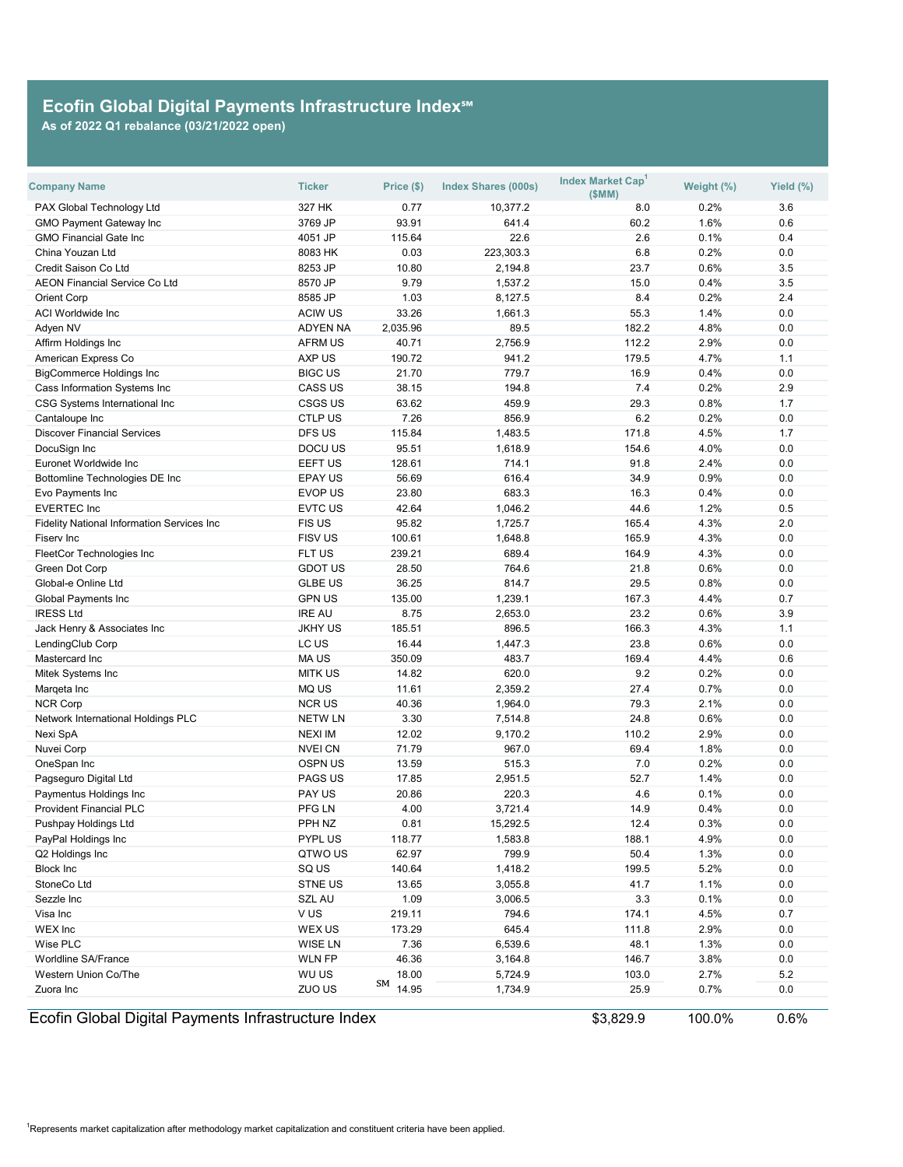| <b>Company Name</b>                                 | <b>Ticker</b>   | Price (\$)  | <b>Index Shares (000s)</b> | <b>Index Market Cap</b><br>(SMM) | Weight (%) | Yield (%) |
|-----------------------------------------------------|-----------------|-------------|----------------------------|----------------------------------|------------|-----------|
| PAX Global Technology Ltd                           | 327 HK          | 0.77        | 10,377.2                   | 8.0                              | 0.2%       | 3.6       |
| <b>GMO Payment Gateway Inc</b>                      | 3769 JP         | 93.91       | 641.4                      | 60.2                             | 1.6%       | 0.6       |
| <b>GMO Financial Gate Inc</b>                       | 4051 JP         | 115.64      | 22.6                       | 2.6                              | 0.1%       | 0.4       |
| China Youzan Ltd                                    | 8083 HK         | 0.03        | 223,303.3                  | 6.8                              | 0.2%       | 0.0       |
| <b>Credit Saison Co Ltd</b>                         | 8253 JP         | 10.80       | 2,194.8                    | 23.7                             | 0.6%       | 3.5       |
| <b>AEON Financial Service Co Ltd</b>                | 8570 JP         | 9.79        | 1,537.2                    | 15.0                             | 0.4%       | 3.5       |
| <b>Orient Corp</b>                                  | 8585 JP         | 1.03        | 8,127.5                    | 8.4                              | 0.2%       | 2.4       |
| <b>ACI Worldwide Inc</b>                            | <b>ACIW US</b>  | 33.26       | 1,661.3                    | 55.3                             | 1.4%       | 0.0       |
| Adyen NV                                            | <b>ADYEN NA</b> | 2,035.96    | 89.5                       | 182.2                            | 4.8%       | 0.0       |
| Affirm Holdings Inc                                 | <b>AFRM US</b>  | 40.71       | 2,756.9                    | 112.2                            | 2.9%       | 0.0       |
| American Express Co                                 | <b>AXP US</b>   | 190.72      | 941.2                      | 179.5                            | 4.7%       | 1.1       |
| <b>BigCommerce Holdings Inc</b>                     | <b>BIGC US</b>  | 21.70       | 779.7                      | 16.9                             | 0.4%       | 0.0       |
| <b>Cass Information Systems Inc</b>                 | <b>CASS US</b>  | 38.15       | 194.8                      | 7.4                              | 0.2%       | 2.9       |
| <b>CSG Systems International Inc</b>                | <b>CSGS US</b>  | 63.62       | 459.9                      | 29.3                             | 0.8%       | 1.7       |
| Cantaloupe Inc                                      | <b>CTLP US</b>  | 7.26        | 856.9                      | 6.2                              | 0.2%       | 0.0       |
| <b>Discover Financial Services</b>                  | <b>DFS US</b>   | 115.84      | 1,483.5                    | 171.8                            | 4.5%       | 1.7       |
| DocuSign Inc                                        | <b>DOCU US</b>  | 95.51       | 1,618.9                    | 154.6                            | 4.0%       | 0.0       |
| Euronet Worldwide Inc                               | <b>EEFT US</b>  | 128.61      | 714.1                      | 91.8                             | 2.4%       | 0.0       |
| <b>Bottomline Technologies DE Inc</b>               | <b>EPAY US</b>  | 56.69       | 616.4                      | 34.9                             | 0.9%       | 0.0       |
| Evo Payments Inc                                    | <b>EVOP US</b>  | 23.80       | 683.3                      | 16.3                             | 0.4%       | 0.0       |
| <b>EVERTEC Inc</b>                                  | <b>EVTC US</b>  | 42.64       | 1,046.2                    | 44.6                             | 1.2%       | 0.5       |
| <b>Fidelity National Information Services Inc</b>   | <b>FISUS</b>    | 95.82       | 1,725.7                    | 165.4                            | 4.3%       | 2.0       |
| Fiserv Inc                                          | <b>FISV US</b>  | 100.61      | 1,648.8                    | 165.9                            | 4.3%       | 0.0       |
| <b>FleetCor Technologies Inc</b>                    | FLT US          | 239.21      | 689.4                      | 164.9                            | 4.3%       | 0.0       |
| <b>Green Dot Corp</b>                               | <b>GDOT US</b>  | 28.50       | 764.6                      | 21.8                             | 0.6%       | 0.0       |
| Global-e Online Ltd                                 | <b>GLBE US</b>  | 36.25       | 814.7                      | 29.5                             | 0.8%       | 0.0       |
| <b>Global Payments Inc</b>                          | <b>GPN US</b>   | 135.00      | 1,239.1                    | 167.3                            | 4.4%       | 0.7       |
| <b>IRESS Ltd</b>                                    | <b>IRE AU</b>   | 8.75        | 2,653.0                    | 23.2                             | 0.6%       | 3.9       |
| Jack Henry & Associates Inc                         | <b>JKHY US</b>  | 185.51      | 896.5                      | 166.3                            | 4.3%       | 1.1       |
| LendingClub Corp                                    | LC US           | 16.44       | 1,447.3                    | 23.8                             | 0.6%       | 0.0       |
| Mastercard Inc                                      | <b>MAUS</b>     | 350.09      | 483.7                      | 169.4                            | 4.4%       | 0.6       |
| Mitek Systems Inc                                   | <b>MITK US</b>  | 14.82       | 620.0                      | 9.2                              | 0.2%       | 0.0       |
| Marqeta Inc                                         | <b>MQ US</b>    | 11.61       | 2,359.2                    | 27.4                             | 0.7%       | 0.0       |
| <b>NCR Corp</b>                                     | <b>NCRUS</b>    | 40.36       | 1,964.0                    | 79.3                             | 2.1%       | 0.0       |
| <b>Network International Holdings PLC</b>           | <b>NETW LN</b>  | 3.30        | 7,514.8                    | 24.8                             | 0.6%       | 0.0       |
| Nexi SpA                                            | <b>NEXI IM</b>  | 12.02       | 9,170.2                    | 110.2                            | 2.9%       | 0.0       |
| Nuvei Corp                                          | <b>NVEICN</b>   | 71.79       | 967.0                      | 69.4                             | 1.8%       | 0.0       |
| OneSpan Inc                                         | <b>OSPN US</b>  | 13.59       | 515.3                      | 7.0                              | 0.2%       | 0.0       |
| Pagseguro Digital Ltd                               | <b>PAGS US</b>  | 17.85       | 2,951.5                    | 52.7                             | 1.4%       | 0.0       |
| Paymentus Holdings Inc                              | <b>PAY US</b>   | 20.86       | 220.3                      | 4.6                              | 0.1%       | 0.0       |
| <b>Provident Financial PLC</b>                      | PFG LN          | 4.00        | 3,721.4                    | 14.9                             | 0.4%       | 0.0       |
| Pushpay Holdings Ltd                                | PPH NZ          | 0.81        | 15,292.5                   | 12.4                             | 0.3%       | 0.0       |
| PayPal Holdings Inc                                 | <b>PYPL US</b>  | 118.77      | 1,583.8                    | 188.1                            | 4.9%       | 0.0       |
| Q2 Holdings Inc                                     | QTWO US         | 62.97       | 799.9                      | 50.4                             | 1.3%       | 0.0       |
| <b>Block Inc</b>                                    | SQ US           | 140.64      | 1,418.2                    | 199.5                            | 5.2%       | 0.0       |
| StoneCo Ltd                                         | <b>STNE US</b>  | 13.65       | 3,055.8                    | 41.7                             | 1.1%       | 0.0       |
| Sezzle Inc                                          | <b>SZL AU</b>   | 1.09        | 3,006.5                    | 3.3                              | 0.1%       | 0.0       |
| Visa Inc                                            | VUS             | 219.11      | 794.6                      | 174.1                            | 4.5%       | 0.7       |
| <b>WEX</b> Inc                                      | <b>WEXUS</b>    | 173.29      | 645.4                      | 111.8                            | 2.9%       | 0.0       |
| <b>Wise PLC</b>                                     | <b>WISE LN</b>  | 7.36        | 6,539.6                    | 48.1                             | 1.3%       | 0.0       |
| <b>Worldline SA/France</b>                          | <b>WLN FP</b>   | 46.36       | 3,164.8                    | 146.7                            | 3.8%       | 0.0       |
| <b>Western Union Co/The</b>                         | WU US           | 18.00       | 5,724.9                    | 103.0                            | 2.7%       | $5.2$     |
| Zuora Inc                                           | ZUO US          | SM<br>14.95 | 1,734.9                    | 25.9                             | 0.7%       | 0.0       |
| Ecofin Global Digital Payments Infrastructure Index |                 |             |                            | \$3,829.9                        | 100.0%     | 0.6%      |

 $^{\text{1}}$ Represents market capitalization after methodology market capitalization and constituent criteria have been applied.

## **Ecofin Global Digital Payments Infrastructure Index℠**

**As of 2022 Q1 rebalance (03/21/2022 open)**